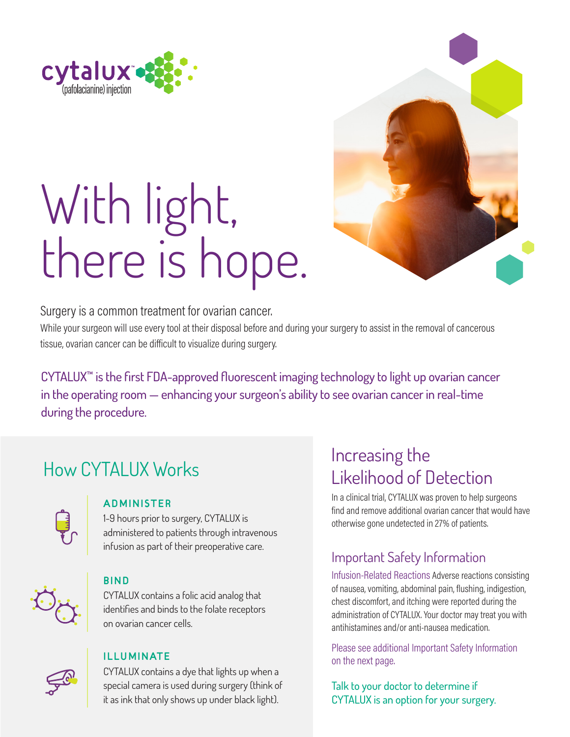

# With light, there is hope.



### Surgery is a common treatment for ovarian cancer.

While your surgeon will use every tool at their disposal before and during your surgery to assist in the removal of cancerous tissue, ovarian cancer can be difficult to visualize during surgery.

CYTALUX™ is the first FDA-approved fluorescent imaging technology to light up ovarian cancer in the operating room — enhancing your surgeon's ability to see ovarian cancer in real-time during the procedure.

### How CYTALUX Works



### ADMINISTER

1-9 hours prior to surgery, CYTALUX is administered to patients through intravenous infusion as part of their preoperative care.

### BIND

CYTALUX contains a folic acid analog that identifies and binds to the folate receptors on ovarian cancer cells.



### ILLUMINATE

CYTALUX contains a dye that lights up when a special camera is used during surgery (think of it as ink that only shows up under black light).

### Increasing the Likelihood of Detection

In a clinical trial, CYTALUX was proven to help surgeons find and remove additional ovarian cancer that would have otherwise gone undetected in 27% of patients.

### Important Safety Information

Infusion-Related Reactions Adverse reactions consisting of nausea, vomiting, abdominal pain, flushing, indigestion, chest discomfort, and itching were reported during the administration of CYTALUX. Your doctor may treat you with antihistamines and/or anti-nausea medication.

Please see additional Important Safety Information on the next page.

Talk to your doctor to determine if CYTALUX is an option for your surgery.